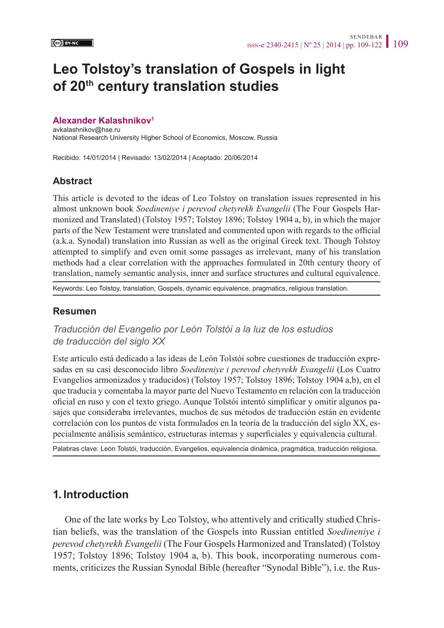# **Leo Tolstoy's translation of Gospels in light of 20th century translation studies**

#### **Alexander Kalashnikov[1](#page-12-0)**

avkalashnikov@hse.ru National Research University Higher School of Economics, Moscow, Russia

Recibido: 14/01/2014 | Revisado: 13/02/2014 | Aceptado: 20/06/2014

### **Abstract**

This article is devoted to the ideas of Leo Tolstoy on translation issues represented in his almost unknown book *Soedineniye i perevod chetyrekh Evangelii* (The Four Gospels Harmonized and Translated) (Tolstoy 1957; Tolstoy 1896; Tolstoy 1904 a, b), in which the major parts of the New Testament were translated and commented upon with regards to the official (a.k.a. Synodal) translation into Russian as well as the original Greek text. Though Tolstoy attempted to simplify and even omit some passages as irrelevant, many of his translation methods had a clear correlation with the approaches formulated in 20th century theory of translation, namely semantic analysis, inner and surface structures and cultural equivalence.

Keywords: Leo Tolstoy, translation, Gospels, dynamic equivalence, pragmatics, religious translation.

#### **Resumen**

*Traducción del Evangelio por León Tolstói a la luz de los estudios de traducción del siglo XX*

Este artículo está dedicado a las ideas de León Tolstói sobre cuestiones de traducción expresadas en su casi desconocido libro *Soedineniye i perevod chetyrekh Evangelii* (Los Cuatro Evangelios armonizados y traducidos) (Tolstoy 1957; Tolstoy 1896; Tolstoy 1904 a,b), en el que traducía y comentaba la mayor parte del Nuevo Testamento en relación con la traducción oficial en ruso y con el texto griego. Aunque Tolstói intentó simplificar y omitir algunos pasajes que consideraba irrelevantes, muchos de sus métodos de traducción están en evidente correlación con los puntos de vista formulados en la teoría de la traducción del siglo XX, especialmente análisis semántico, estructuras internas y superficiales y equivalencia cultural.

Palabras clave: León Tolstói, traducción, Evangelios, equivalencia dinámica, pragmática, traducción religiosa.

# **1. Introduction**

One of the late works by Leo Tolstoy, who attentively and critically studied Christian beliefs, was the translation of the Gospels into Russian entitled *Soedineniye i perevod chetyrekh Evangelii* (The Four Gospels Harmonized and Translated) (Tolstoy 1957; Tolstoy 1896; Tolstoy 1904 a, b). This book, incorporating numerous comments, criticizes the Russian Synodal Bible (hereafter "Synodal Bible"), i.e. the Rus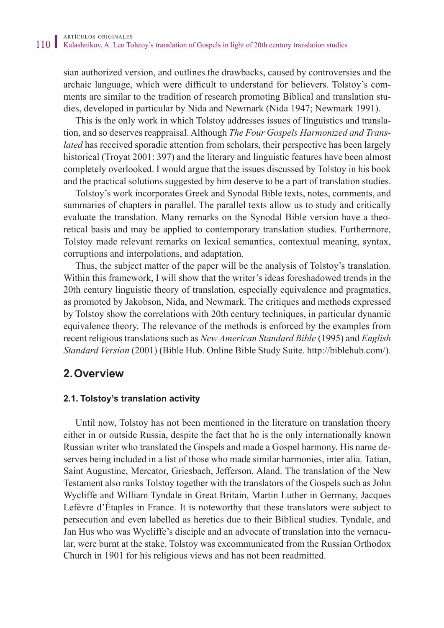sian authorized version, and outlines the drawbacks, caused by controversies and the archaic language, which were difficult to understand for believers. Tolstoy's comments are similar to the tradition of research promoting Biblical and translation studies, developed in particular by Nida and Newmark (Nida 1947; Newmark 1991).

This is the only work in which Tolstoy addresses issues of linguistics and translation, and so deserves reappraisal. Although *The Four Gospels Harmonized and Translated* has received sporadic attention from scholars, their perspective has been largely historical (Troyat 2001: 397) and the literary and linguistic features have been almost completely overlooked. I would argue that the issues discussed by Tolstoy in his book and the practical solutions suggested by him deserve to be a part of translation studies.

Tolstoy's work incorporates Greek and Synodal Bible texts, notes, comments, and summaries of chapters in parallel. The parallel texts allow us to study and critically evaluate the translation. Many remarks on the Synodal Bible version have a theoretical basis and may be applied to contemporary translation studies. Furthermore, Tolstoy made relevant remarks on lexical semantics, contextual meaning, syntax, corruptions and interpolations, and adaptation.

Thus, the subject matter of the paper will be the analysis of Tolstoy's translation. Within this framework, I will show that the writer's ideas foreshadowed trends in the 20th century linguistic theory of translation, especially equivalence and pragmatics, as promoted by Jakobson, Nida, and Newmark. The critiques and methods expressed by Tolstoy show the correlations with 20th century techniques, in particular dynamic equivalence theory. The relevance of the methods is enforced by the examples from recent religious translations such as *New American Standard Bible* (1995) and *English Standard Version* (2001) (Bible Hub. Online Bible Study Suite. [http://biblehub.com/\)](http://biblehub.com/).

### **2.Overview**

#### **2.1. Tolstoy's translation activity**

Until now, Tolstoy has not been mentioned in the literature on translation theory either in or outside Russia, despite the fact that he is the only internationally known Russian writer who translated the Gospels and made a Gospel harmony. His name deserves being included in a list of those who made similar harmonies, inter alia*,* Tatian, Saint Augustine, Mercator, Griesbach, Jefferson, Aland. The translation of the New Testament also ranks Tolstoy together with the translators of the Gospels such as John Wycliffe and William Tyndale in Great Britain, Martin Luther in Germany, Jacques Lefèvre d'Étaples in France. It is noteworthy that these translators were subject to persecution and even labelled as heretics due to their Biblical studies. Tyndale, and Jan Hus who was Wycliffe's disciple and an advocate of translation into the vernacular, were burnt at the stake. Tolstoy was excommunicated from the Russian Orthodox Church in 1901 for his religious views and has not been readmitted.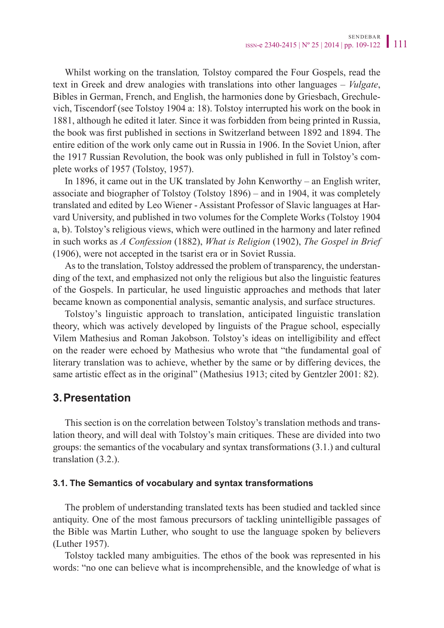Whilst working on the translation*,* Tolstoy compared the Four Gospels, read the text in Greek and drew analogies with translations into other languages – *Vulgate*, Bibles in German, French, and English, the harmonies done by Griesbach, Grechulevich, Tiscendorf (see Tolstoy 1904 a: 18). Tolstoy interrupted his work on the book in 1881, although he edited it later. Since it was forbidden from being printed in Russia, the book was first published in sections in Switzerland between 1892 and 1894. The entire edition of the work only came out in Russia in 1906. In the Soviet Union, after the 1917 Russian Revolution, the book was only published in full in Tolstoy's complete works of 1957 (Tolstoy, 1957).

In 1896, it came out in the UK translated by John Kenworthy – an English writer, associate and biographer of Tolstoy (Tolstoy 1896) – and in 1904, it was completely translated and edited by Leo Wiener - Assistant Professor of Slavic languages at Harvard University, and published in two volumes for the Complete Works (Tolstoy 1904 a, b). Tolstoy's religious views, which were outlined in the harmony and later refined in such works as *A Confession* (1882), *What is Religion* (1902), *The Gospel in Brief* (1906), were not accepted in the tsarist era or in Soviet Russia.

As to the translation, Tolstoy addressed the problem of transparency, the understanding of the text, and emphasized not only the religious but also the linguistic features of the Gospels. In particular, he used linguistic approaches and methods that later became known as componential analysis, semantic analysis, and surface structures.

Tolstoy's linguistic approach to translation, anticipated linguistic translation theory, which was actively developed by linguists of the Prague school, especially Vilem Mathesius and Roman Jakobson. Tolstoy's ideas on intelligibility and effect on the reader were echoed by Mathesius who wrote that "the fundamental goal of literary translation was to achieve, whether by the same or by differing devices, the same artistic effect as in the original" (Mathesius 1913; cited by Gentzler 2001: 82).

# **3.Presentation**

This section is on the correlation between Tolstoy's translation methods and translation theory, and will deal with Tolstoy's main critiques. These are divided into two groups: the semantics of the vocabulary and syntax transformations (3.1.) and cultural translation (3.2.).

#### **3.1. The Semantics of vocabulary and syntax transformations**

The problem of understanding translated texts has been studied and tackled since antiquity. One of the most famous precursors of tackling unintelligible passages of the Bible was Martin Luther, who sought to use the language spoken by believers (Luther 1957).

Tolstoy tackled many ambiguities. The ethos of the book was represented in his words: "no one can believe what is incomprehensible, and the knowledge of what is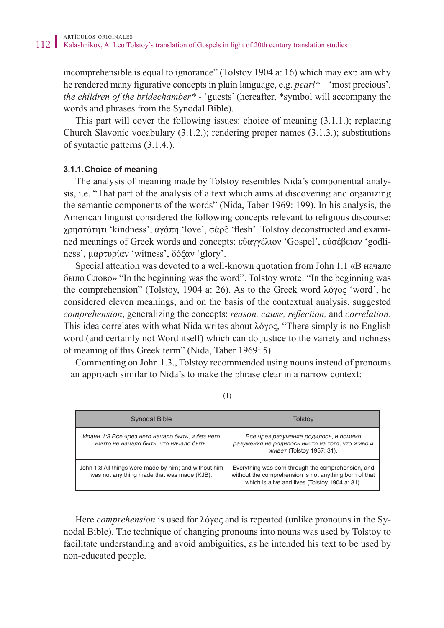incomprehensible is equal to ignorance" (Tolstoy 1904 a: 16) which may explain why he rendered many figurative concepts in plain language, e.g. *pearl\* –* 'most precious', *the children of the bridechamber\* -* 'guests' (hereafter, \*symbol will accompany the words and phrases from the Synodal Bible).

This part will cover the following issues: choice of meaning (3.1.1.); replacing Church Slavonic vocabulary (3.1.2.); rendering proper names (3.1.3.); substitutions of syntactic patterns (3.1.4.).

#### **3.1.1.Choice of meaning**

The analysis of meaning made by Tolstoy resembles Nida's componential analysis, i.e. "That part of the analysis of a text which aims at discovering and organizing the semantic components of the words" (Nida, Taber 1969: 199). In his analysis, the American linguist considered the following concepts relevant to religious discourse: χρηστότητι 'kindness', ἀγάπη 'love', σάρξ 'flesh'. Tolstoy deconstructed and examined meanings of Greek words and concepts: εὐαγγέλιον 'Gospel', εὐσέβειαν 'godliness', μαρτυρίαν 'witness', δόξαν 'glory'.

Special attention was devoted to a well-known quotation from John 1.1 «В начале было Cлово» "In the beginning was the word". Tolstoy wrote: "In the beginning was the comprehension" (Tolstoy, 1904 a: 26). As to the Greek word λόγος 'word', he considered eleven meanings, and on the basis of the contextual analysis, suggested *comprehension*, generalizing the concepts: *reason, cause, reflection,* and *correlation*. This idea correlates with what Nida writes about λόγος, "There simply is no English word (and certainly not Word itself) which can do justice to the variety and richness of meaning of this Greek term" (Nida, Taber 1969: 5).

Commenting on John 1.3., Tolstoy recommended using nouns instead of pronouns – an approach similar to Nida's to make the phrase clear in a narrow context:

| <b>Synodal Bible</b>                                                                                 | Tolstoy                                                                                                                                                        |
|------------------------------------------------------------------------------------------------------|----------------------------------------------------------------------------------------------------------------------------------------------------------------|
| Иоанн 1:3 Все чрез него начало быть, и без него<br>ничто не начало быть, что начало быть.            | Все чрез разумение родилось, и помимо<br>разумения не родилось ничто из того, что живо и<br><i>живет</i> (Tolstoy 1957: 31).                                   |
| John 1:3 All things were made by him; and without him<br>was not any thing made that was made (KJB). | Everything was born through the comprehension, and<br>without the comprehension is not anything born of that<br>which is alive and lives (Tolstoy 1904 a: 31). |

(1)

Here *comprehension* is used for λόγος and is repeated (unlike pronouns in the Synodal Bible). The technique of changing pronouns into nouns was used by Tolstoy to facilitate understanding and avoid ambiguities, as he intended his text to be used by non-educated people.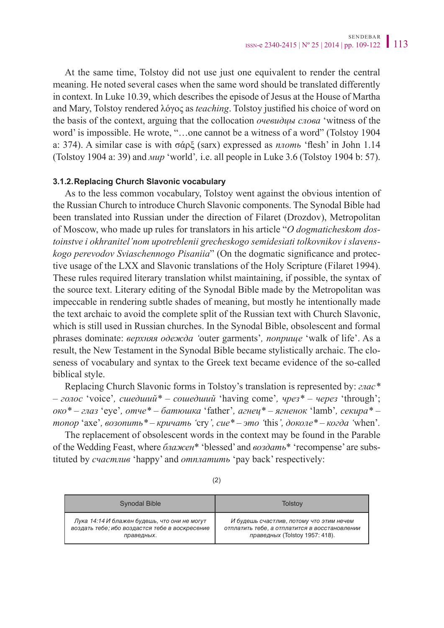At the same time, Tolstoy did not use just one equivalent to render the central meaning. He noted several cases when the same word should be translated differently in context. In Luke 10.39, which describes the episode of Jesus at the House of Martha and Mary, Tolstoy rendered λόγος as *teaching*. Tolstoy justified his choice of word on the basis of the context, arguing that the collocation *очевидцы слова* 'witness of the word' is impossible. He wrote, "...one cannot be a witness of a word" (Tolstoy 1904) a: 374). A similar case is with σάρξ (sarx) expressed as *плоть* 'flesh' in John 1.14 (Tolstoy 1904 a: 39) and *мир* 'world'*,* i.e. all people in Luke 3.6 (Tolstoy 1904 b: 57).

#### **3.1.2.Replacing Church Slavonic vocabulary**

As to the less common vocabulary, Tolstoy went against the obvious intention of the Russian Church to introduce Church Slavonic components. The Synodal Bible had been translated into Russian under the direction of Filaret (Drozdov), Metropolitan of Moscow, who made up rules for translators in his article "*O dogmaticheskom dostoinstve i okhranitel'nom upotreblenii grecheskogo semidesiati tolkovnikov i slavenskogo perevodov Sviaschennogo Pisaniia*" (On the dogmatic significance and protective usage of the LXX and Slavonic translations of the Holy Scripture (Filaret 1994). These rules required literary translation whilst maintaining, if possible, the syntax of the source text. Literary editing of the Synodal Bible made by the Metropolitan was impeccable in rendering subtle shades of meaning, but mostly he intentionally made the text archaic to avoid the complete split of the Russian text with Church Slavonic, which is still used in Russian churches. In the Synodal Bible, obsolescent and formal phrases dominate: *верхняя одежда '*outer garments'*, поприще* 'walk of life'. As a result, the New Testament in the Synodal Bible became stylistically archaic. The closeness of vocabulary and syntax to the Greek text became evidence of the so-called biblical style.

Replacing Church Slavonic forms in Tolstoy's translation is represented by: *глас\* – голос* 'voice'*, сшедший\* – сошедший* 'having come'*, чрез\* – через* 'through'; *око\* – глаз* 'eye'*, отче\* – батюшка* 'father'*, агнец\* – ягненок* 'lamb'*, секира\* – топор* 'axe'*, возопить\* – кричать '*cry*', сие\* – это '*this*', доколе\* – когда '*when'*.*

The replacement of obsolescent words in the context may be found in the Parable of the Wedding Feast, where *блажен*\* 'blessed' and *воздать*\* 'recompense' are substituted by *счастлив* 'happy' and *отплатить* 'pay back' respectively:

| <b>Synodal Bible</b>                           | Tolstov                                       |
|------------------------------------------------|-----------------------------------------------|
| Лука 14:14 И блажен будешь, что они не могут   | И будешь счастлив, потому что этим нечем      |
| воздать тебе; ибо воздастся тебе в воскресение | отплатить тебе, а отплатится в восстановлении |
| праведных.                                     | праведных (Tolstoy 1957: 418).                |

(2)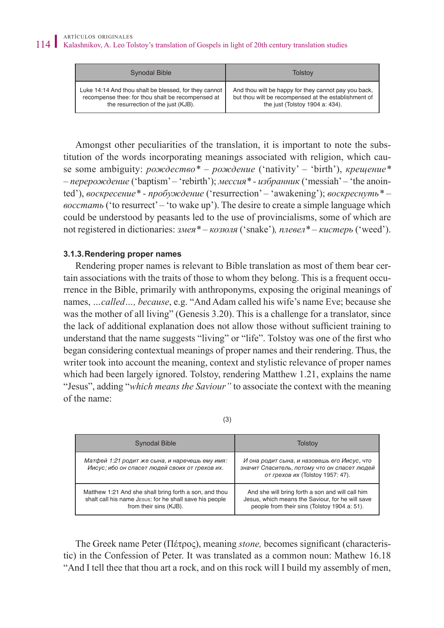| <b>Synodal Bible</b>                                  | Tolstoy                                              |
|-------------------------------------------------------|------------------------------------------------------|
| Luke 14:14 And thou shalt be blessed, for they cannot | And thou wilt be happy for they cannot pay you back, |
| recompense thee: for thou shalt be recompensed at     | but thou wilt be recompensed at the establishment of |
| the resurrection of the just (KJB).                   | the just (Tolstoy 1904 a: 434).                      |

Amongst other peculiarities of the translation, it is important to note the substitution of the words incorporating meanings associated with religion, which cause some ambiguity: *рождество\* – рождение* ('nativity' – 'birth'), *крещение\* – перерождение* ('baptism' – 'rebirth'); *мессия\* - избранник* ('messiah' – 'the anointed'), *воскресение\* - пробуждение* ('resurrection' – 'awakening'); *воскреснуть\* – восстать* ('to resurrect' – 'to wake up'). The desire to create a simple language which could be understood by peasants led to the use of provincialisms, some of which are not registered in dictionaries: *змея\* – козюля* ('snake')*, плевел\* – кистерь* ('weed').

#### **3.1.3.Rendering proper names**

Rendering proper names is relevant to Bible translation as most of them bear certain associations with the traits of those to whom they belong. This is a frequent occurrence in the Bible, primarily with anthroponyms, exposing the original meanings of names, *…called…, because*, e.g. "And Adam called his wife's name Eve; because she was the mother of all living" (Genesis 3.20). This is a challenge for a translator, since the lack of additional explanation does not allow those without sufficient training to understand that the name suggests "living" or "life". Tolstoy was one of the first who began considering contextual meanings of proper names and their rendering. Thus, the writer took into account the meaning, context and stylistic relevance of proper names which had been largely ignored. Tolstoy, rendering Matthew 1.21, explains the name "Jesus", adding "*which means the Saviour"* to associate the context with the meaning of the name:

| ٠<br>$\sim$ | I |
|-------------|---|

| <b>Synodal Bible</b>                                                                                                                        | Tolstov                                                                                                                                              |
|---------------------------------------------------------------------------------------------------------------------------------------------|------------------------------------------------------------------------------------------------------------------------------------------------------|
| Матфей 1:21 родит же сына, и наречешь ему имя:<br>Иисус; ибо он спасет людей своих от грехов их.                                            | И она родит сына, и назовешь его Иисус, что<br>значит Спаситель, потому что он спасет людей<br>от грехов их (Tolstoy 1957: 47).                      |
| Matthew 1:21 And she shall bring forth a son, and thou<br>shalt call his name JESUS: for he shall save his people<br>from their sins (KJB). | And she will bring forth a son and will call him<br>Jesus, which means the Saviour, for he will save<br>people from their sins (Tolstoy 1904 a: 51). |

The Greek name Peter (Πέτρος), meaning *stone,* becomes significant (characteristic) in the Confession of Peter. It was translated as a common noun: Мathew 16.18 "And I tell thee that thou art a rock, and on this rock will I build my assembly of men,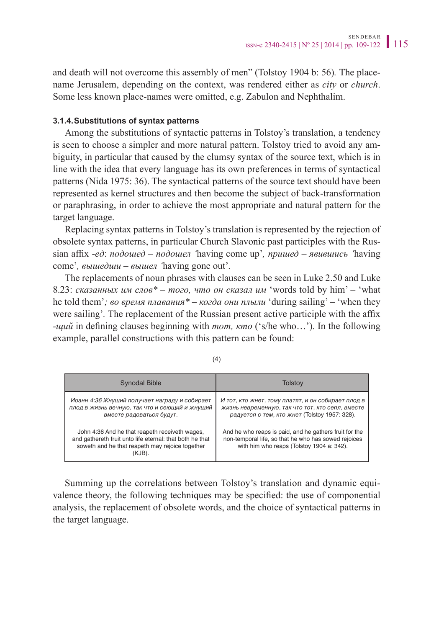and death will not overcome this assembly of men" (Tolstoy 1904 b: 56)*.* The placename Jerusalem, depending on the context, was rendered either as *city* or *church*. Some less known place-names were omitted, e.g. Zabulon and Nephthalim.

#### **3.1.4.Substitutions of syntax patterns**

Among the substitutions of syntactic patterns in Tolstoy's translation, a tendency is seen to choose a simpler and more natural pattern. Tolstoy tried to avoid any ambiguity, in particular that caused by the clumsy syntax of the source text, which is in line with the idea that every language has its own preferences in terms of syntactical patterns (Nida 1975: 36). The syntactical patterns of the source text should have been represented as kernel structures and then become the subject of back-transformation or paraphrasing, in order to achieve the most appropriate and natural pattern for the target language.

Replacing syntax patterns in Tolstoy's translation is represented by the rejection of obsolete syntax patterns, in particular Church Slavonic past participles with the Russian affix *-eд*: *подошед – подошел '*having come up'*, пришед – явившись '*having come'*, вышедши – вышел '*having gone out'*.*

The replacements of noun phrases with clauses can be seen in Luke 2.50 and Luke 8.23: *сказанных им слов\* – того, что он сказал им* 'words told by him' – 'what he told them'*; во время плавания\* – когда они плыли* 'during sailing' – 'when they were sailing'*.* The replacement of the Russian present active participle with the affix *-щий* in defining clauses beginning with *тот, кто* ('s/he who…'). In the following example, parallel constructions with this pattern can be found:

| Synodal Bible                                                                                                                                                           | Tolstov                                                                                                                                                     |
|-------------------------------------------------------------------------------------------------------------------------------------------------------------------------|-------------------------------------------------------------------------------------------------------------------------------------------------------------|
| Иоанн 4:36 Жнущий получает награду и собирает<br>плод в жизнь вечную, так что и сеющий и жнущий<br>вместе радоваться будут.                                             | И тот, кто жнет, тому платят, и он собирает плод в<br>жизнь невременную, так что тот, кто сеял, вместе<br>радуется с тем, кто жнет (Tolstoy 1957: 328).     |
| John 4:36 And he that reapeth receiveth wages,<br>and gathereth fruit unto life eternal: that both he that<br>soweth and he that reapeth may rejoice together<br>(KJB). | And he who reaps is paid, and he gathers fruit for the<br>non-temporal life, so that he who has sowed rejoices<br>with him who reaps (Tolstoy 1904 a: 342). |

(4)

Summing up the correlations between Tolstoy's translation and dynamic equivalence theory, the following techniques may be specified: the use of componential analysis, the replacement of obsolete words, and the choice of syntactical patterns in the target language.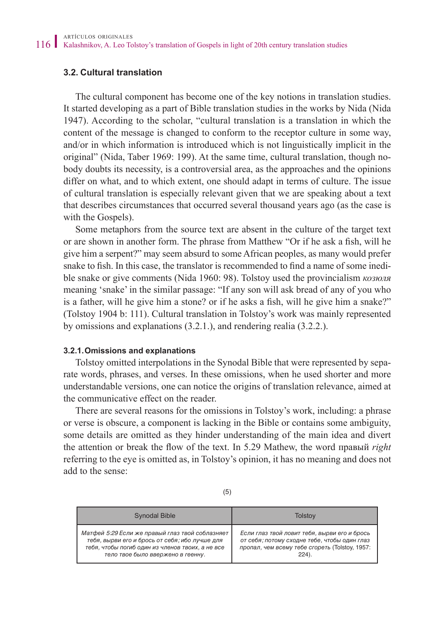#### **3.2. Cultural translation**

The cultural component has become one of the key notions in translation studies. It started developing as a part of Bible translation studies in the works by Nida (Nida 1947). According to the scholar, "cultural translation is a translation in which the content of the message is changed to conform to the receptor culture in some way, and/or in which information is introduced which is not linguistically implicit in the original" (Nida, Taber 1969: 199). At the same time, cultural translation, though nobody doubts its necessity, is a controversial area, as the approaches and the opinions differ on what, and to which extent, one should adapt in terms of culture. The issue of cultural translation is especially relevant given that we are speaking about a text that describes circumstances that occurred several thousand years ago (as the case is with the Gospels).

Some metaphors from the source text are absent in the culture of the target text or are shown in another form. The phrase from Matthew "Or if he ask a fish, will he give him a serpent?" may seem absurd to some African peoples, as many would prefer snake to fish. In this case, the translator is recommended to find a name of some inedible snake or give comments (Nida 1960: 98). Tolstoy used the provincialism *козюля* meaning 'snake' in the similar passage: "If any son will ask bread of any of you who is a father, will he give him a stone? or if he asks a fish, will he give him a snake?" (Tolstoy 1904 b: 111). Cultural translation in Tolstoy's work was mainly represented by omissions and explanations (3.2.1.), and rendering realia (3.2.2.).

#### **3.2.1.Omissions and explanations**

Tolstoy omitted interpolations in the Synodal Bible that were represented by separate words, phrases, and verses. In these omissions, when he used shorter and more understandable versions, one can notice the origins of translation relevance, aimed at the communicative effect on the reader.

There are several reasons for the omissions in Tolstoy's work, including: a phrase or verse is obscure, a component is lacking in the Bible or contains some ambiguity, some details are omitted as they hinder understanding of the main idea and divert the attention or break the flow of the text. In 5.29 Mathew, the word правый *right* referring to the eye is omitted as, in Tolstoy's opinion, it has no meaning and does not add to the sense:

| <b>Synodal Bible</b>                             | Tolstov                                        |
|--------------------------------------------------|------------------------------------------------|
| Матфей 5:29 Если же правый глаз твой соблазняет  | Если глаз твой ловит тебя, вырви его и брось   |
| тебя, вырви его и брось от себя; ибо лучше для   | от себя; потому сходне тебе, чтобы один глаз   |
| тебя, чтобы погиб один из членов твоих, а не все | пропал, чем всему тебе сгореть (Tolstoy, 1957: |
| тело твое было ввержено в геенну.                | $224)$ .                                       |

(5)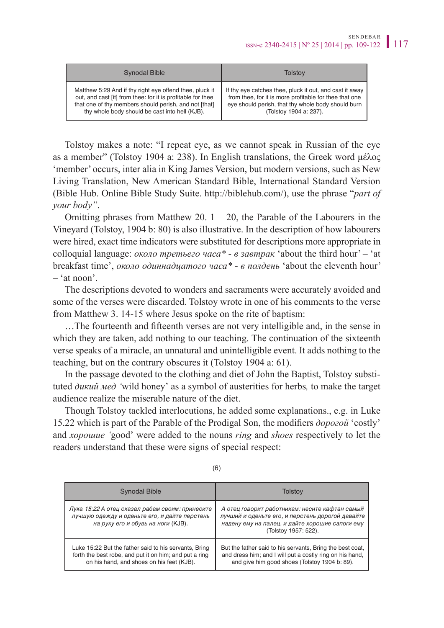| Synodal Bible                                               | Tolstov                                                 |
|-------------------------------------------------------------|---------------------------------------------------------|
| Matthew 5:29 And if thy right eye offend thee, pluck it     | If thy eye catches thee, pluck it out, and cast it away |
| out, and cast [it] from thee: for it is profitable for thee | from thee, for it is more profitable for thee that one  |
| that one of thy members should perish, and not [that]       | eye should perish, that thy whole body should burn      |
| thy whole body should be cast into hell (KJB).              | (Tolstoy 1904 a: 237).                                  |

Tolstoy makes a note: "I repeat eye, as we cannot speak in Russian of the eye as a member" (Tolstoy 1904 a: 238). In English translations, the Greek word μέλος 'member' occurs, inter alia in King James Version, but modern versions, such as New Living Translation, New American Standard Bible, International Standard Version (Bible Hub. Online Bible Study Suite. <http://biblehub.com/>), use the phrase "*part of your body"*.

Omitting phrases from Matthew 20.  $1 - 20$ , the Parable of the Labourers in the Vineyard (Tolstoy, 1904 b: 80) is also illustrative. In the description of how labourers were hired, exact time indicators were substituted for descriptions more appropriate in colloquial language: *около третьего часа\* - в завтрак* 'about the third hour' – 'at breakfast time', *около одиннадцатого часа\* - в полдень* 'about the eleventh hour' – 'at noon'.

The descriptions devoted to wonders and sacraments were accurately avoided and some of the verses were discarded. Tolstoy wrote in one of his comments to the verse from Matthew 3. 14-15 where Jesus spoke on the rite of baptism:

…The fourteenth and fifteenth verses are not very intelligible and, in the sense in which they are taken, add nothing to our teaching. The continuation of the sixteenth verse speaks of a miracle, an unnatural and unintelligible event. It adds nothing to the teaching, but on the contrary obscures it (Tolstoy 1904 a: 61).

In the passage devoted to the clothing and diet of John the Baptist, Tolstoy substituted *дикий мед '*wild honey' as a symbol of austerities for herbs*,* to make the target audience realize the miserable nature of the diet.

Though Tolstoy tackled interlocutions, he added some explanations., e.g. in Luke 15.22 which is part of the Parable of the Prodigal Son, the modifiers *дорогой* 'costly' and *хорошие '*good' were added to the nouns *ring* and *shoes* respectively to let the readers understand that these were signs of special respect:

| Synodal Bible                                                                                                                                                | Tolstov                                                                                                                                                                       |
|--------------------------------------------------------------------------------------------------------------------------------------------------------------|-------------------------------------------------------------------------------------------------------------------------------------------------------------------------------|
| Лука 15:22 А отец сказал рабам своим: принесите<br>лучшую одежду и оденьте его, и дайте перстень<br>на руку его и обувь на ноги (KJB).                       | А отец говорит работникам: несите кафтан самый<br>лучший и оденьте его, и перстень дорогой давайте<br>надену ему на палец, и дайте хорошие сапоги ему<br>(Tolstoy 1957: 522). |
| Luke 15:22 But the father said to his servants, Bring<br>forth the best robe, and put it on him; and put a ring<br>on his hand, and shoes on his feet (KJB). | But the father said to his servants, Bring the best coat,<br>and dress him; and I will put a costly ring on his hand,<br>and give him good shoes (Tolstoy 1904 b: 89).        |

(6)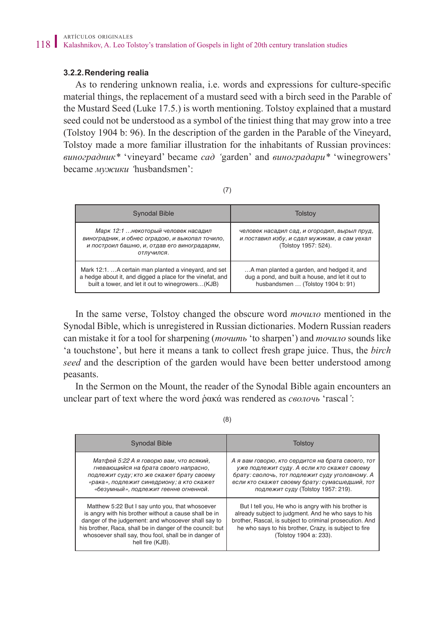#### **3.2.2.Rendering realia**

As to rendering unknown realia, i.e. words and expressions for culture-specific material things, the replacement of a mustard seed with a birch seed in the Parable of the Mustard Seed (Luke 17.5.) is worth mentioning. Tolstoy explained that a mustard seed could not be understood as a symbol of the tiniest thing that may grow into a tree (Tolstoy 1904 b: 96). In the description of the garden in the Parable of the Vineyard, Tolstoy made a more familiar illustration for the inhabitants of Russian provinces: *виноградник\** 'vineyard' became *сад '*garden' and *виноградари\** 'winegrowers' became *мужики '*husbandsmen':

| Synodal Bible                                                                                                                                                           | Tolstov                                                                                                                             |
|-------------------------------------------------------------------------------------------------------------------------------------------------------------------------|-------------------------------------------------------------------------------------------------------------------------------------|
| Марк 12:1  некоторый человек насадил<br>виноградник, и обнес оградою, и выкопал точило,<br>и построил башню, и, отдав его виноградарям,<br>отлучился.                   | человек насадил сад, и огородил, вырыл пруд,<br>и поставил избу, и сдал мужикам, а сам уехал<br>(Tolstoy 1957: 524).                |
| Mark 12:1.  A certain man planted a vineyard, and set<br>a hedge about it, and digged a place for the vinefat, and<br>built a tower, and let it out to winegrowers(KJB) | A man planted a garden, and hedged it, and<br>dug a pond, and built a house, and let it out to<br>husbandsmen  (Tolstoy 1904 b: 91) |

In the same verse, Tolstoy changed the obscure word *точило* mentioned in the Synodal Bible, which is unregistered in Russian dictionaries. Modern Russian readers can mistake it for a tool for sharpening (*точить* 'to sharpen') and *точило* sounds like 'a touchstone', but here it means a tank to collect fresh grape juice. Thus, the *birch seed* and the description of the garden would have been better understood among peasants.

In the Sermon on the Mount, the reader of the Synodal Bible again encounters an unclear part of text where the word ῥακά was rendered as *сволочь* 'rascal*'*:

(8)

| <b>Synodal Bible</b>                                                                                                                                                                                                                                                                                      | <b>Tolstov</b>                                                                                                                                                                                                                                            |
|-----------------------------------------------------------------------------------------------------------------------------------------------------------------------------------------------------------------------------------------------------------------------------------------------------------|-----------------------------------------------------------------------------------------------------------------------------------------------------------------------------------------------------------------------------------------------------------|
| Матфей 5:22 А я говорю вам, что всякий,<br>гневающийся на брата своего напрасно,<br>подлежит суду; кто же скажет брату своему<br>«рака», подлежит синедриону; а кто скажет<br>«безумный», подлежит геенне огненной.                                                                                       | А я вам говорю, кто сердится на брата своего, тот<br>уже подлежит суду. А если кто скажет своему<br>брату: сволочь, тот подлежит суду уголовному. А<br>если кто скажет своему брату: сумасшедший, тот<br>подлежит суду (Tolstoy 1957: 219).               |
| Matthew 5:22 But I say unto you, that whosoever<br>is angry with his brother without a cause shall be in<br>danger of the judgement: and whosoever shall say to<br>his brother, Raca, shall be in danger of the council: but<br>whosoever shall say, thou fool, shall be in danger of<br>hell fire (KJB). | But I tell you, He who is angry with his brother is<br>already subject to judgment. And he who says to his<br>brother, Rascal, is subject to criminal prosecution. And<br>he who says to his brother, Crazy, is subject to fire<br>(Tolstoy 1904 a: 233). |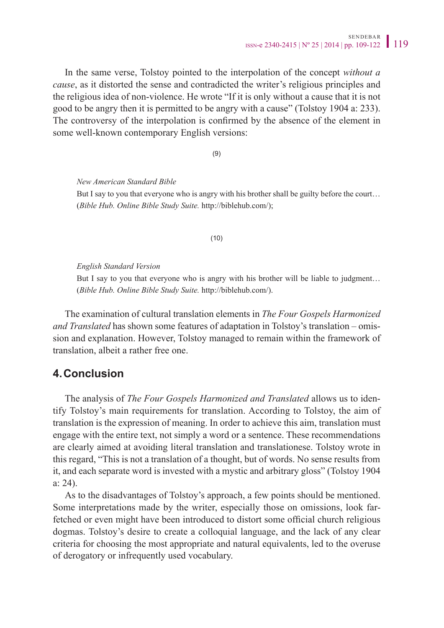In the same verse, Tolstoy pointed to the interpolation of the concept *without a cause*, as it distorted the sense and contradicted the writer's religious principles and the religious idea of non-violence. He wrote "If it is only without a cause that it is not good to be angry then it is permitted to be angry with a cause" (Tolstoy 1904 a: 233). The controversy of the interpolation is confirmed by the absence of the element in some well-known contemporary English versions:

(9)

*New American Standard Bible* But I say to you that everyone who is angry with his brother shall be guilty before the court... (*Bible Hub. Online Bible Study Suite.* [http://biblehub.com/\)](http://biblehub.com/);

(10)

*English Standard Version*

But I say to you that everyone who is angry with his brother will be liable to judgment... (*Bible Hub. Online Bible Study Suite.* [http://biblehub.com/\)](http://biblehub.com/).

The examination of cultural translation elements in *The Four Gospels Harmonized and Translated* has shown some features of adaptation in Tolstoy's translation – omission and explanation. However, Tolstoy managed to remain within the framework of translation, albeit a rather free one.

## **4.Conclusion**

The analysis of *The Four Gospels Harmonized and Translated* allows us to identify Tolstoy's main requirements for translation. According to Tolstoy, the aim of translation is the expression of meaning. In order to achieve this aim, translation must engage with the entire text, not simply a word or a sentence. These recommendations are clearly aimed at avoiding literal translation and translationese. Tolstoy wrote in this regard, "This is not a translation of a thought, but of words. No sense results from it, and each separate word is invested with a mystic and arbitrary gloss" (Tolstoy 1904 a: 24).

As to the disadvantages of Tolstoy's approach, a few points should be mentioned. Some interpretations made by the writer, especially those on omissions, look farfetched or even might have been introduced to distort some official church religious dogmas. Tolstoy's desire to create a colloquial language, and the lack of any clear criteria for choosing the most appropriate and natural equivalents, led to the overuse of derogatory or infrequently used vocabulary.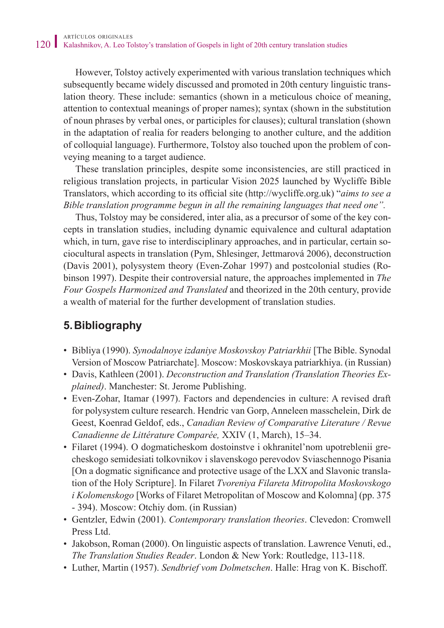However, Tolstoy actively experimented with various translation techniques which subsequently became widely discussed and promoted in 20th century linguistic translation theory. These include: semantics (shown in a meticulous choice of meaning, attention to contextual meanings of proper names); syntax (shown in the substitution of noun phrases by verbal ones, or participles for clauses); cultural translation (shown in the adaptation of realia for readers belonging to another culture, and the addition of colloquial language). Furthermore, Tolstoy also touched upon the problem of conveying meaning to a target audience.

These translation principles, despite some inconsistencies, are still practiced in religious translation projects, in particular Vision 2025 launched by Wycliffe Bible Translators, which according to its official site ([http://wycliffe.org.uk\)](http://wycliffe.org.uk) "*aims to see a Bible translation programme begun in all the remaining languages that need one".*

Thus, Tolstoy may be considered, inter alia, as a precursor of some of the key concepts in translation studies, including dynamic equivalence and cultural adaptation which, in turn, gave rise to interdisciplinary approaches, and in particular, certain sociocultural aspects in translation (Pym, Shlesinger, Jettmarová 2006), deconstruction (Davis 2001), polysystem theory (Even-Zohar 1997) and postcolonial studies (Robinson 1997). Despite their controversial nature, the approaches implemented in *The Four Gospels Harmonized and Translated* and theorized in the 20th century, provide a wealth of material for the further development of translation studies.

# **5.Bibliography**

- Bibliya (1990). *Synodalnoye izdaniye Moskovskoy Patriarkhii* [The Bible. Synodal Version of Moscow Patriarchate]. Moscow: Moskovskaya patriarkhiya. (in Russian)
- Davis, Kathleen (2001). *Deconstruction and Translation (Translation Theories Explained)*. Manchester: St. Jerome Publishing.
- Even-Zohar, Itamar (1997). Factors and dependencies in culture: A revised draft for polysystem culture research. Hendric van Gorp, Anneleen masschelein, Dirk de Geest, Koenrad Geldof, eds., *Canadian Review of Comparative Literature / Revue Canadienne de Littérature Comparée,* XXIV (1, March), 15–34.
- Filaret (1994). O dogmaticheskom dostoinstve i okhranitel'nom upotreblenii grecheskogo semidesiati tolkovnikov i slavenskogo perevodov Sviaschennogo Pisania [On a dogmatic significance and protective usage of the LXX and Slavonic translation of the Holy Scripture]. In Filaret *Tvoreniya Filareta Mitropolita Moskovskogo i Kolomenskogo* [Works of Filaret Metropolitan of Moscow and Kolomna] (pp. 375 - 394). Moscow: Otchiy dom. (in Russian)
- Gentzler, Edwin (2001). *Contemporary translation theories*. Clevedon: Cromwell Press Ltd.
- Jakobson, Roman (2000). On linguistic aspects of translation. Lawrence Venuti, ed., *The Translation Studies Reader*. London & New York: Routledge, 113-118.
- Luther, Martin (1957). *Sendbrief vom Dolmetschen*. Halle: Hrag von K. Bischoff.